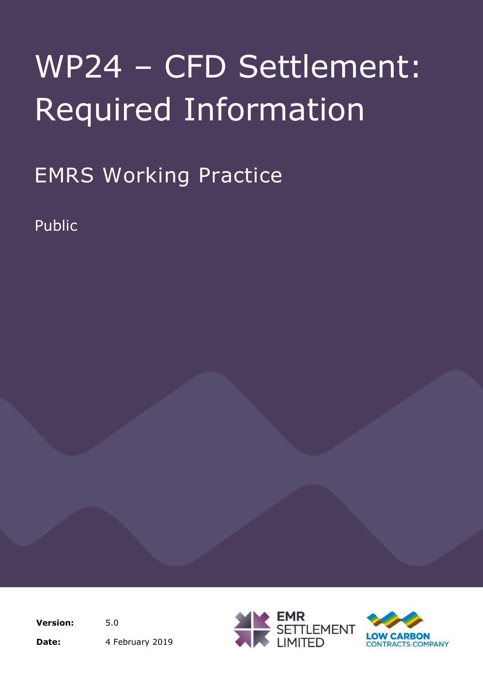EMRS Working Practice

Public

**Version:** 5.0 Date: 4 February 2019



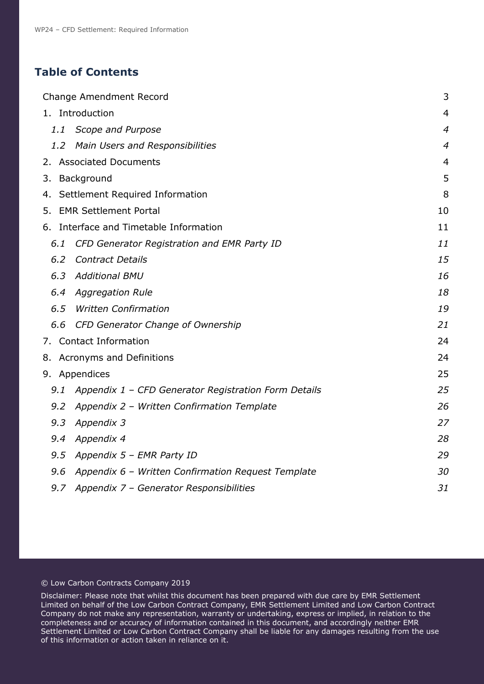# **Table of Contents**

|               | <b>Change Amendment Record</b>                       | 3              |
|---------------|------------------------------------------------------|----------------|
|               | 1. Introduction                                      | $\overline{4}$ |
| 1.1           | Scope and Purpose                                    | $\overline{4}$ |
| $1.2^{\circ}$ | <b>Main Users and Responsibilities</b>               | $\overline{4}$ |
|               | 2. Associated Documents                              | $\overline{4}$ |
|               | 3. Background                                        | 5              |
|               | 4. Settlement Required Information                   | 8              |
|               | 5. EMR Settlement Portal                             | 10             |
|               | 6. Interface and Timetable Information               | 11             |
| 6.1           | CFD Generator Registration and EMR Party ID          | 11             |
| 6.2           | <b>Contract Details</b>                              | 15             |
| 6.3           | <b>Additional BMU</b>                                | 16             |
| 6.4           | <b>Aggregation Rule</b>                              | 18             |
| 6.5           | <b>Written Confirmation</b>                          | 19             |
| 6.6           | CFD Generator Change of Ownership                    | 21             |
|               | 7. Contact Information                               | 24             |
|               | 8. Acronyms and Definitions                          | 24             |
|               | 9. Appendices                                        | 25             |
| 9.1           | Appendix 1 - CFD Generator Registration Form Details | 25             |
| 9.2           | Appendix 2 - Written Confirmation Template           | 26             |
| 9.3           | Appendix 3                                           | 27             |
| 9.4           | Appendix 4                                           | 28             |
| 9.5           | Appendix 5 - EMR Party ID                            | 29             |
| 9.6           | Appendix 6 - Written Confirmation Request Template   | 30             |
| 9.7           | Appendix 7 - Generator Responsibilities              | 31             |

#### © Low Carbon Contracts Company 2019

Disclaimer: Please note that whilst this document has been prepared with due care by EMR Settlement Limited on behalf of the Low Carbon Contract Company, EMR Settlement Limited and Low Carbon Contract Company do not make any representation, warranty or undertaking, express or implied, in relation to the completeness and or accuracy of information contained in this document, and accordingly neither EMR Settlement Limited or Low Carbon Contract Company shall be liable for any damages resulting from the use of this information or action taken in reliance on it.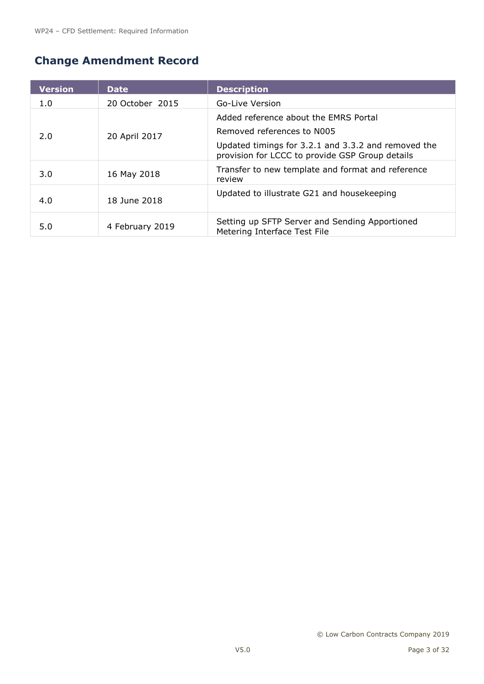# <span id="page-2-0"></span>**Change Amendment Record**

| <b>Version</b> | <b>Date</b>     | <b>Description</b>                                                                                     |
|----------------|-----------------|--------------------------------------------------------------------------------------------------------|
| 1.0            | 20 October 2015 | Go-Live Version                                                                                        |
|                |                 | Added reference about the EMRS Portal                                                                  |
| 2.0            | 20 April 2017   | Removed references to N005                                                                             |
|                |                 | Updated timings for 3.2.1 and 3.3.2 and removed the<br>provision for LCCC to provide GSP Group details |
| 3.0            | 16 May 2018     | Transfer to new template and format and reference<br>review                                            |
| 4.0            | 18 June 2018    | Updated to illustrate G21 and housekeeping                                                             |
| 5.0            | 4 February 2019 | Setting up SFTP Server and Sending Apportioned<br>Metering Interface Test File                         |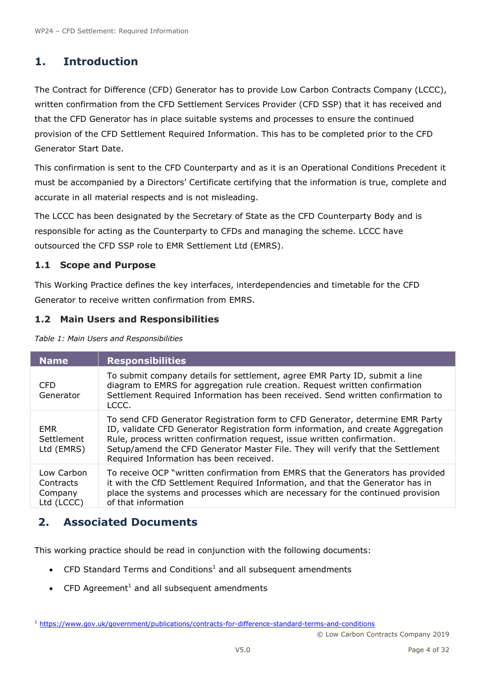# <span id="page-3-0"></span>**1. Introduction**

The Contract for Difference (CFD) Generator has to provide Low Carbon Contracts Company (LCCC), written confirmation from the CFD Settlement Services Provider (CFD SSP) that it has received and that the CFD Generator has in place suitable systems and processes to ensure the continued provision of the CFD Settlement Required Information. This has to be completed prior to the CFD Generator Start Date.

This confirmation is sent to the CFD Counterparty and as it is an Operational Conditions Precedent it must be accompanied by a Directors' Certificate certifying that the information is true, complete and accurate in all material respects and is not misleading.

The LCCC has been designated by the Secretary of State as the CFD Counterparty Body and is responsible for acting as the Counterparty to CFDs and managing the scheme. LCCC have outsourced the CFD SSP role to EMR Settlement Ltd (EMRS).

#### **1.1 Scope and Purpose**

This Working Practice defines the key interfaces, interdependencies and timetable for the CFD Generator to receive written confirmation from EMRS.

#### **1.2 Main Users and Responsibilities**

*Table 1: Main Users and Responsibilities*

| <b>Name</b>                                      | <b>Responsibilities</b>                                                                                                                                                                                                                                                                                                                                                    |
|--------------------------------------------------|----------------------------------------------------------------------------------------------------------------------------------------------------------------------------------------------------------------------------------------------------------------------------------------------------------------------------------------------------------------------------|
| <b>CFD</b><br>Generator                          | To submit company details for settlement, agree EMR Party ID, submit a line<br>diagram to EMRS for aggregation rule creation. Request written confirmation<br>Settlement Required Information has been received. Send written confirmation to<br>LCCC.                                                                                                                     |
| <b>EMR</b><br>Settlement<br>Ltd (EMRS)           | To send CFD Generator Registration form to CFD Generator, determine EMR Party<br>ID, validate CFD Generator Registration form information, and create Aggregation<br>Rule, process written confirmation request, issue written confirmation.<br>Setup/amend the CFD Generator Master File. They will verify that the Settlement<br>Required Information has been received. |
| Low Carbon<br>Contracts<br>Company<br>Ltd (LCCC) | To receive OCP "written confirmation from EMRS that the Generators has provided<br>it with the CfD Settlement Required Information, and that the Generator has in<br>place the systems and processes which are necessary for the continued provision<br>of that information                                                                                                |

# <span id="page-3-1"></span>**2. Associated Documents**

This working practice should be read in conjunction with the following documents:

- <span id="page-3-2"></span>• CFD Standard Terms and Conditions<sup>1</sup> and all subsequent amendments
- $\bullet$  $\bullet$  CFD Agreement<sup>1</sup> and all subsequent amendments

<sup>1</sup> <https://www.gov.uk/government/publications/contracts-for-difference-standard-terms-and-conditions>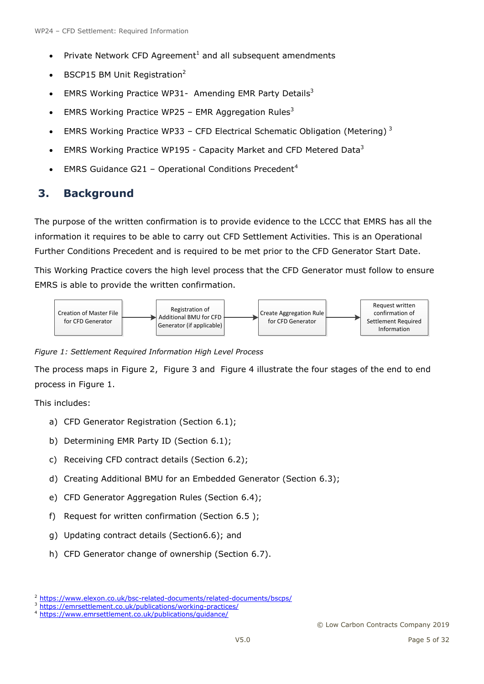- Private Network CFD Agreement<sup>[1](#page-3-2)</sup> and all subsequent amendments
- BSCP15 BM Unit Registration<sup>2</sup>
- <span id="page-4-1"></span>EMRS Working Practice WP31- Amending EMR Party Details<sup>3</sup>
- EMRS Working Practice WP25 EMR Aggregation Rules<sup>[3](#page-4-1)</sup>
- EMRS Working Practice WP[3](#page-4-1)3 CFD Electrical Schematic Obligation (Metering)<sup>3</sup>
- EMRS Working Practice WP195 Capacity Market and CFD Metered Data[3](#page-4-1)
- <span id="page-4-3"></span>EMRS Guidance G21 – Operational Conditions Precedent<sup>4</sup>

# <span id="page-4-0"></span>**3. Background**

The purpose of the written confirmation is to provide evidence to the LCCC that EMRS has all the information it requires to be able to carry out CFD Settlement Activities. This is an Operational Further Conditions Precedent and is required to be met prior to the CFD Generator Start Date.

This Working Practice covers the high level process that the CFD Generator must follow to ensure EMRS is able to provide the written confirmation.



<span id="page-4-2"></span>*Figure 1: Settlement Required Information High Level Process*

The process maps in [Figure 2,](#page-5-0) [Figure 3](#page-6-0) and [Figure 4](#page-7-1) illustrate the four stages of the end to end process in [Figure 1.](#page-4-2)

This includes:

- a) CFD Generator Registration (Section 6.1);
- b) Determining EMR Party ID (Section 6.1);
- c) Receiving CFD contract details (Section 6.2);
- d) Creating Additional BMU for an Embedded Generator (Section 6.3);
- e) CFD Generator Aggregation Rules (Section 6.4);
- f) Request for written confirmation (Section 6.5 );
- g) Updating contract details (Section6.6); and
- h) CFD Generator change of ownership (Section 6.7).

<sup>&</sup>lt;sup>2</sup> <https://www.elexon.co.uk/bsc-related-documents/related-documents/bscps/>

<sup>3</sup> <https://emrsettlement.co.uk/publications/working-practices/>

<sup>4</sup> <https://www.emrsettlement.co.uk/publications/guidance/>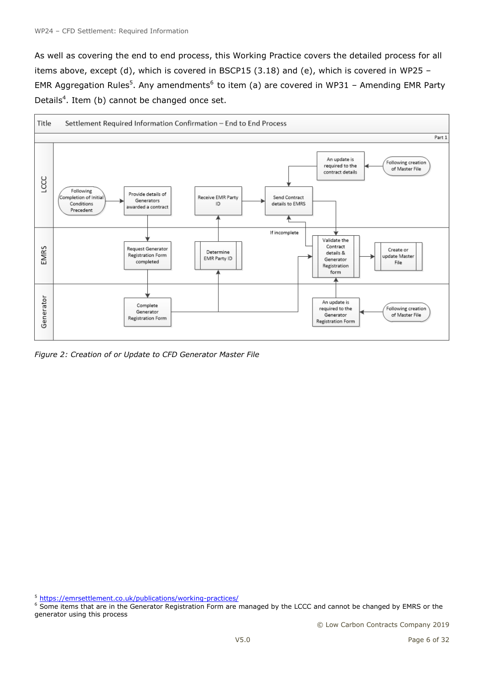As well as covering the end to end process, this Working Practice covers the detailed process for all items above, except (d), which is covered in BSCP15 (3.18) and (e), which is covered in WP25 – EMR Aggregation Rules<sup>5</sup>. Any amendments<sup>6</sup> to item (a) are covered in WP31 - Amending EMR Party Details<sup>[4](#page-4-3)</sup>. Item (b) cannot be changed once set.



<span id="page-5-0"></span>*Figure 2: Creation of or Update to CFD Generator Master File*

<sup>5</sup> <https://emrsettlement.co.uk/publications/working-practices/>

<sup>&</sup>lt;sup>6</sup> Some items that are in the Generator Registration Form are managed by the LCCC and cannot be changed by EMRS or the generator using this process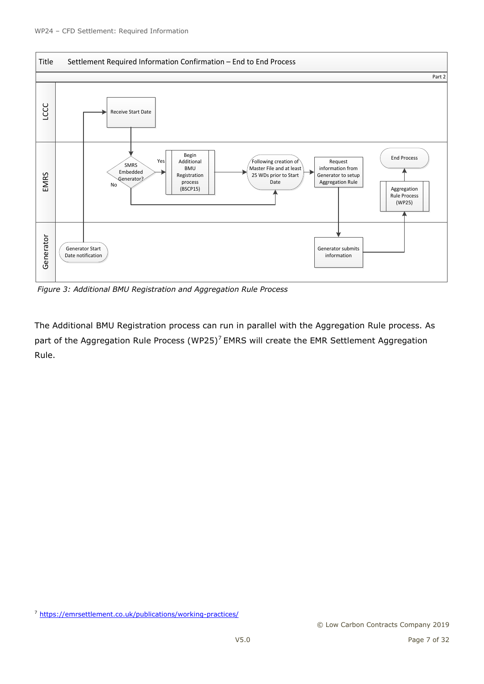

<span id="page-6-0"></span>*Figure 3: Additional BMU Registration and Aggregation Rule Process*

The Additional BMU Registration process can run in parallel with the Aggregation Rule process. As part of the Aggregation Rule Process (WP25)<sup>7</sup> EMRS will create the EMR Settlement Aggregation Rule.

<sup>7</sup> <https://emrsettlement.co.uk/publications/working-practices/>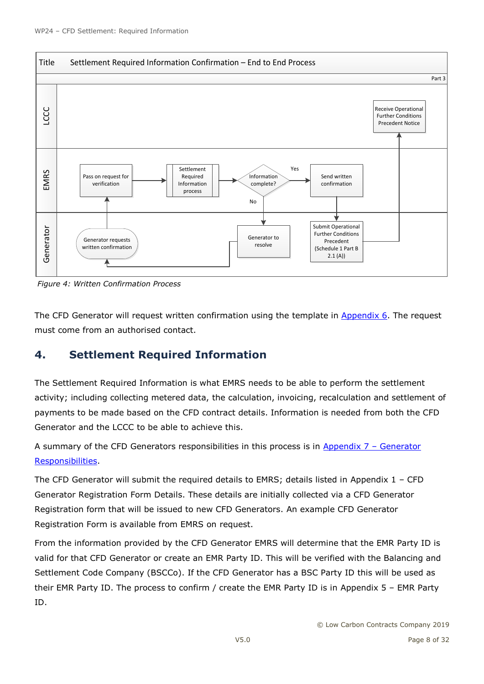

<span id="page-7-1"></span>*Figure 4: Written Confirmation Process*

The CFD Generator will request written confirmation using the template in  $\Delta p$  and  $\Delta p$ . The request must come from an authorised contact.

# <span id="page-7-0"></span>**4. Settlement Required Information**

The Settlement Required Information is what EMRS needs to be able to perform the settlement activity; including collecting metered data, the calculation, invoicing, recalculation and settlement of payments to be made based on the CFD contract details. Information is needed from both the CFD Generator and the LCCC to be able to achieve this.

A summary of the CFD Generators responsibilities in this process is in [Appendix 7](#page-30-0) - Generator [Responsibilities.](#page-30-0)

The CFD Generator will submit the required details to EMRS; details listed in Appendix  $1$  – CFD Generator [Registration Form Details.](#page-24-1) These details are initially collected via a CFD Generator Registration form that will be issued to new CFD Generators. An example CFD Generator Registration Form is available from EMRS on request.

From the information provided by the CFD Generator EMRS will determine that the EMR Party ID is valid for that CFD Generator or create an EMR Party ID. This will be verified with the Balancing and Settlement Code Company (BSCCo). If the CFD Generator has a BSC Party ID this will be used as their EMR Party ID. The process to confirm / create the EMR Party ID is in [Appendix 5](#page-28-0) – EMR Party [ID.](#page-28-0)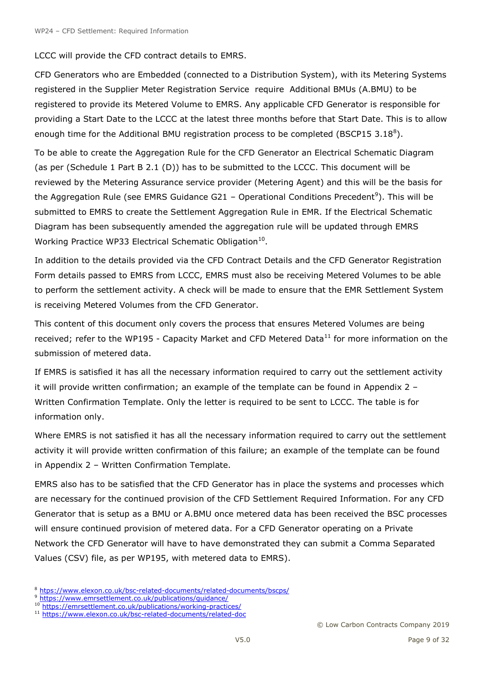LCCC will provide the CFD contract details to EMRS.

CFD Generators who are Embedded (connected to a Distribution System), with its Metering Systems registered in the Supplier Meter Registration Service require Additional BMUs (A.BMU) to be registered to provide its Metered Volume to EMRS. Any applicable CFD Generator is responsible for providing a Start Date to the LCCC at the latest three months before that Start Date. This is to allow enough time for the Additional BMU registration process to be completed (BSCP15 3.18 $^8$ ).

To be able to create the Aggregation Rule for the CFD Generator an Electrical Schematic Diagram (as per (Schedule 1 Part B 2.1 (D)) has to be submitted to the LCCC. This document will be reviewed by the Metering Assurance service provider (Metering Agent) and this will be the basis for the Aggregation Rule (see EMRS Guidance G21 - Operational Conditions Precedent<sup>9</sup>). This will be submitted to EMRS to create the Settlement Aggregation Rule in EMR. If the Electrical Schematic Diagram has been subsequently amended the aggregation rule will be updated through EMRS Working Practice WP33 Electrical Schematic Obligation<sup>10</sup>.

In addition to the details provided via the CFD Contract Details and the CFD Generator Registration Form details passed to EMRS from LCCC, EMRS must also be receiving Metered Volumes to be able to perform the settlement activity. A check will be made to ensure that the EMR Settlement System is receiving Metered Volumes from the CFD Generator.

This content of this document only covers the process that ensures Metered Volumes are being received; refer to the WP195 - Capacity Market and CFD Metered Data<sup>11</sup> for more information on the submission of metered data.

If EMRS is satisfied it has all the necessary information required to carry out the settlement activity it will provide written confirmation; an example of the template can be found in [Appendix 2](#page-25-0) – [Written Confirmation Template.](#page-25-0) Only the letter is required to be sent to LCCC. The table is for information only.

Where EMRS is not satisfied it has all the necessary information required to carry out the settlement activity it will provide written confirmation of this failure; an example of the template can be found in Appendix 2 – [Written Confirmation Template.](#page-25-0)

EMRS also has to be satisfied that the CFD Generator has in place the systems and processes which are necessary for the continued provision of the CFD Settlement Required Information. For any CFD Generator that is setup as a BMU or A.BMU once metered data has been received the BSC processes will ensure continued provision of metered data. For a CFD Generator operating on a Private Network the CFD Generator will have to have demonstrated they can submit a Comma Separated Values (CSV) file, as per WP195, with metered data to EMRS).

<sup>8</sup> [htps://www.elexon.co.uk/bsc-related-documents/related-documents/bscps/](https://www.elexon.co.uk/bsc-related-documents/related-documents/bscps/)

<sup>9</sup> <https://www.emrsettlement.co.uk/publications/guidance/>

<sup>10</sup> <https://emrsettlement.co.uk/publications/working-practices/>

<sup>11</sup> <https://www.elexon.co.uk/bsc-related-documents/related-doc>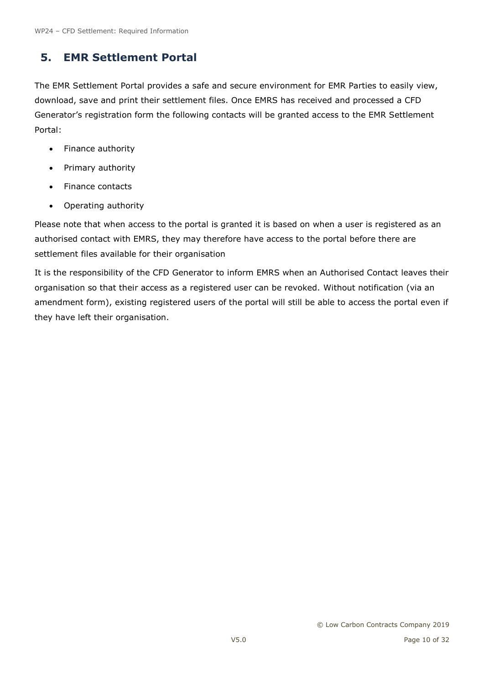# <span id="page-9-0"></span>**5. EMR Settlement Portal**

The EMR Settlement Portal provides a safe and secure environment for EMR Parties to easily view, download, save and print their settlement files. Once EMRS has received and processed a CFD Generator's registration form the following contacts will be granted access to the EMR Settlement Portal:

- Finance authority
- Primary authority
- Finance contacts
- Operating authority

Please note that when access to the portal is granted it is based on when a user is registered as an authorised contact with EMRS, they may therefore have access to the portal before there are settlement files available for their organisation

It is the responsibility of the CFD Generator to inform EMRS when an Authorised Contact leaves their organisation so that their access as a registered user can be revoked. Without notification (via an amendment form), existing registered users of the portal will still be able to access the portal even if they have left their organisation.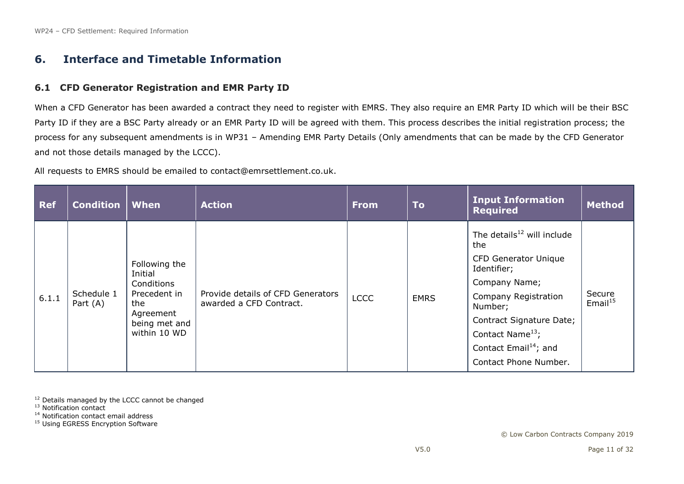## **6. Interface and Timetable Information**

#### **6.1 CFD Generator Registration and EMR Party ID**

When a CFD Generator has been awarded a contract they need to register with EMRS. They also require an EMR Party ID which will be their BSC Party ID if they are a BSC Party already or an EMR Party ID will be agreed with them. This process describes the initial registration process; the process for any subsequent amendments is in WP31 – Amending EMR Party Details (Only amendments that can be made by the CFD Generator and not those details managed by the LCCC).

All requests to EMRS should be emailed to [contact@emrsettlement.co.uk.](mailto:contact@emrsettlement.co.uk)

<span id="page-10-0"></span>

| <b>Ref</b> | <b>Condition</b>       | When                                                                                                        | <b>Action</b>                                                | <b>From</b> | <b>To</b>   | <b>Input Information</b><br><b>Required</b>                                                                                                                                                                                                                         | <b>Method</b>        |
|------------|------------------------|-------------------------------------------------------------------------------------------------------------|--------------------------------------------------------------|-------------|-------------|---------------------------------------------------------------------------------------------------------------------------------------------------------------------------------------------------------------------------------------------------------------------|----------------------|
| 6.1.1      | Schedule 1<br>Part (A) | Following the<br>Initial<br>Conditions<br>Precedent in<br>the<br>Agreement<br>being met and<br>within 10 WD | Provide details of CFD Generators<br>awarded a CFD Contract. | <b>LCCC</b> | <b>EMRS</b> | The details $^{12}$ will include<br>the<br><b>CFD Generator Unique</b><br>Identifier;<br>Company Name;<br>Company Registration<br>Number;<br>Contract Signature Date;<br>Contact Name <sup>13</sup> ;<br>Contact Email <sup>14</sup> ; and<br>Contact Phone Number. | Secure<br>Email $15$ |

<sup>12</sup> Details managed by the LCCC cannot be changed

<sup>13</sup> Notification contact

<sup>14</sup> Notification contact email address

<sup>15</sup> Using EGRESS Encryption Software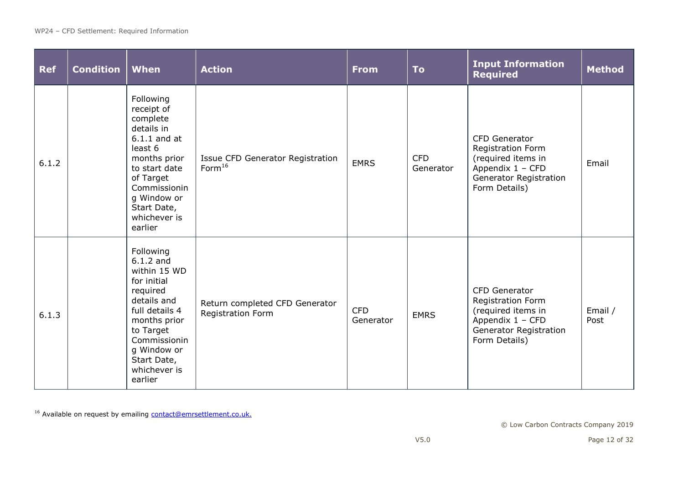| <b>Ref</b> | <b>Condition</b> | <b>When</b>                                                                                                                                                                                                | <b>Action</b>                                          | <b>From</b>             | <b>To</b>               | <b>Input Information</b><br><b>Required</b>                                                                                                  | <b>Method</b>   |
|------------|------------------|------------------------------------------------------------------------------------------------------------------------------------------------------------------------------------------------------------|--------------------------------------------------------|-------------------------|-------------------------|----------------------------------------------------------------------------------------------------------------------------------------------|-----------------|
| 6.1.2      |                  | Following<br>receipt of<br>complete<br>details in<br>$6.1.1$ and at<br>least 6<br>months prior<br>to start date<br>of Target<br>Commissionin<br>g Window or<br>Start Date,<br>whichever is<br>earlier      | Issue CFD Generator Registration<br>Form <sup>16</sup> | <b>EMRS</b>             | <b>CFD</b><br>Generator | <b>CFD Generator</b><br>Registration Form<br>(required items in<br>Appendix 1 - CFD<br><b>Generator Registration</b><br>Form Details)        | Email           |
| 6.1.3      |                  | Following<br>$6.1.2$ and<br>within 15 WD<br>for initial<br>required<br>details and<br>full details 4<br>months prior<br>to Target<br>Commissionin<br>g Window or<br>Start Date,<br>whichever is<br>earlier | Return completed CFD Generator<br>Registration Form    | <b>CFD</b><br>Generator | <b>EMRS</b>             | <b>CFD Generator</b><br><b>Registration Form</b><br>(required items in<br>Appendix 1 - CFD<br><b>Generator Registration</b><br>Form Details) | Email /<br>Post |

<sup>16</sup> Available on request by emailing **contact@emrsettlement.co.uk.**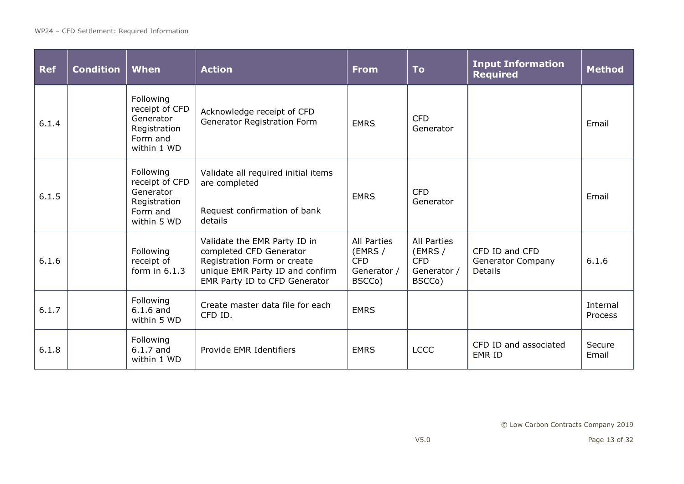| <b>Ref</b> | <b>Condition</b> | When                                                                                | <b>Action</b>                                                                                                                                              | <b>From</b>                                                          | <b>To</b>                                                     | <b>Input Information</b><br><b>Required</b>           | <b>Method</b>       |
|------------|------------------|-------------------------------------------------------------------------------------|------------------------------------------------------------------------------------------------------------------------------------------------------------|----------------------------------------------------------------------|---------------------------------------------------------------|-------------------------------------------------------|---------------------|
| 6.1.4      |                  | Following<br>receipt of CFD<br>Generator<br>Registration<br>Form and<br>within 1 WD | Acknowledge receipt of CFD<br>Generator Registration Form                                                                                                  | <b>EMRS</b>                                                          | <b>CFD</b><br>Generator                                       |                                                       | Email               |
| 6.1.5      |                  | Following<br>receipt of CFD<br>Generator<br>Registration<br>Form and<br>within 5 WD | Validate all required initial items<br>are completed<br>Request confirmation of bank<br>details                                                            | <b>EMRS</b>                                                          | <b>CFD</b><br>Generator                                       |                                                       | Email               |
| 6.1.6      |                  | Following<br>receipt of<br>form in $6.1.3$                                          | Validate the EMR Party ID in<br>completed CFD Generator<br>Registration Form or create<br>unique EMR Party ID and confirm<br>EMR Party ID to CFD Generator | <b>All Parties</b><br>(EMRS /<br><b>CFD</b><br>Generator /<br>BSCCo) | All Parties<br>(EMRS /<br><b>CFD</b><br>Generator /<br>BSCCo) | CFD ID and CFD<br><b>Generator Company</b><br>Details | 6.1.6               |
| 6.1.7      |                  | Following<br>$6.1.6$ and<br>within 5 WD                                             | Create master data file for each<br>CFD ID.                                                                                                                | <b>EMRS</b>                                                          |                                                               |                                                       | Internal<br>Process |
| 6.1.8      |                  | Following<br>$6.1.7$ and<br>within 1 WD                                             | Provide EMR Identifiers                                                                                                                                    | <b>EMRS</b>                                                          | <b>LCCC</b>                                                   | CFD ID and associated<br>EMR ID                       | Secure<br>Email     |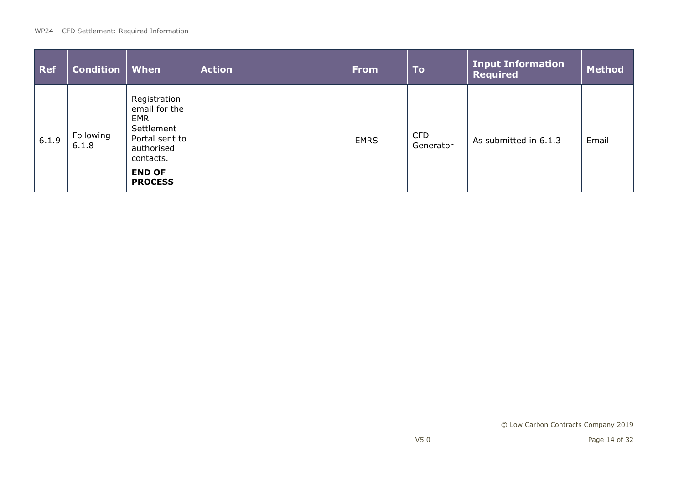| <b>Ref</b> | <b>Condition</b>   | When                                                                                                                                      | <b>Action</b> | <b>From</b> | <b>To</b>               | <b>Input Information</b><br><b>Required</b> | <b>Method</b> |
|------------|--------------------|-------------------------------------------------------------------------------------------------------------------------------------------|---------------|-------------|-------------------------|---------------------------------------------|---------------|
| 6.1.9      | Following<br>6.1.8 | Registration<br>email for the<br><b>EMR</b><br>Settlement<br>Portal sent to<br>authorised<br>contacts.<br><b>END OF</b><br><b>PROCESS</b> |               | <b>EMRS</b> | <b>CFD</b><br>Generator | As submitted in 6.1.3                       | Email         |

© Low Carbon Contracts Company 2019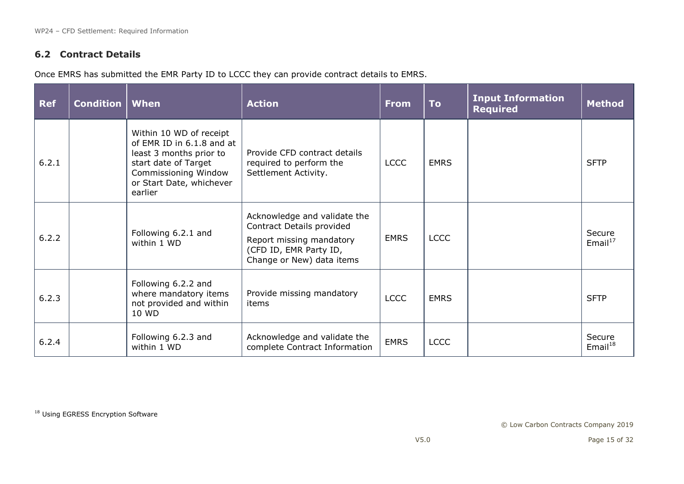## **6.2 Contract Details**

Once EMRS has submitted the EMR Party ID to LCCC they can provide contract details to EMRS.

| <b>Ref</b> | <b>Condition</b> | When                                                                                                                                                                   | <b>Action</b>                                                                                                                                | <b>From</b> | <b>To</b>   | <b>Input Information</b><br><b>Required</b> | <b>Method</b>        |
|------------|------------------|------------------------------------------------------------------------------------------------------------------------------------------------------------------------|----------------------------------------------------------------------------------------------------------------------------------------------|-------------|-------------|---------------------------------------------|----------------------|
| 6.2.1      |                  | Within 10 WD of receipt<br>of EMR ID in 6.1.8 and at<br>least 3 months prior to<br>start date of Target<br>Commissioning Window<br>or Start Date, whichever<br>earlier | Provide CFD contract details<br>required to perform the<br>Settlement Activity.                                                              | <b>LCCC</b> | <b>EMRS</b> |                                             | <b>SFTP</b>          |
| 6.2.2      |                  | Following 6.2.1 and<br>within 1 WD                                                                                                                                     | Acknowledge and validate the<br>Contract Details provided<br>Report missing mandatory<br>(CFD ID, EMR Party ID,<br>Change or New) data items | <b>EMRS</b> | <b>LCCC</b> |                                             | Secure<br>Email $17$ |
| 6.2.3      |                  | Following 6.2.2 and<br>where mandatory items<br>not provided and within<br>10 WD                                                                                       | Provide missing mandatory<br>items                                                                                                           | <b>LCCC</b> | <b>EMRS</b> |                                             | <b>SFTP</b>          |
| 6.2.4      |                  | Following 6.2.3 and<br>within 1 WD                                                                                                                                     | Acknowledge and validate the<br>complete Contract Information                                                                                | <b>EMRS</b> | <b>LCCC</b> |                                             | Secure<br>Email $18$ |

18 Using EGRESS Encryption Software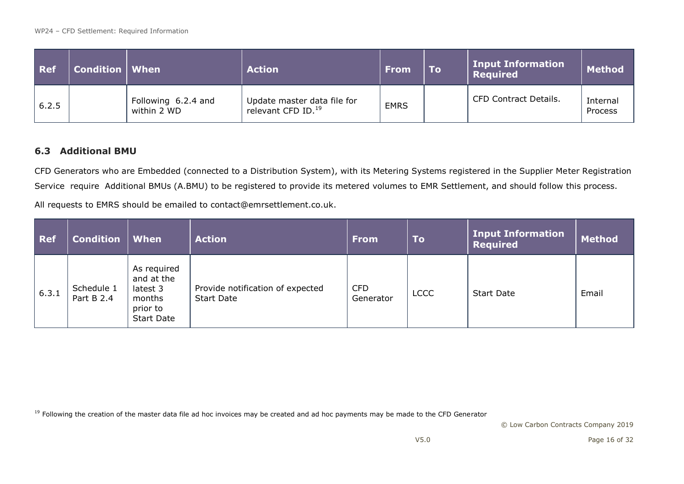| <b>Ref</b> | <b>Condition   When</b> |                                    | <b>Action</b>                                                 | <b>From</b> | <b>To</b> | Input Information<br><b>Required</b> | <b>Method</b>       |
|------------|-------------------------|------------------------------------|---------------------------------------------------------------|-------------|-----------|--------------------------------------|---------------------|
| 6.2.5      |                         | Following 6.2.4 and<br>within 2 WD | Update master data file for<br>relevant CFD ID. <sup>19</sup> | <b>EMRS</b> |           | CFD Contract Details.                | Internal<br>Process |

#### **6.3 Additional BMU**

CFD Generators who are Embedded (connected to a Distribution System), with its Metering Systems registered in the Supplier Meter Registration Service require Additional BMUs (A.BMU) to be registered to provide its metered volumes to EMR Settlement, and should follow this process.

All requests to EMRS should be emailed to [contact@emrsettlement.co.uk.](mailto:contact@emrsettlement.co.uk)

| <b>Ref</b> | <b>Condition</b>         | When                                                                             | <b>Action</b>                                         | <b>From</b>             | <b>To</b>   | <b>Input Information</b><br><b>Required</b> | <b>Method</b> |
|------------|--------------------------|----------------------------------------------------------------------------------|-------------------------------------------------------|-------------------------|-------------|---------------------------------------------|---------------|
| 6.3.1      | Schedule 1<br>Part B 2.4 | As required<br>and at the<br>latest 3<br>months<br>prior to<br><b>Start Date</b> | Provide notification of expected<br><b>Start Date</b> | <b>CFD</b><br>Generator | <b>LCCC</b> | <b>Start Date</b>                           | Email         |

<sup>19</sup> Following the creation of the master data file ad hoc invoices may be created and ad hoc payments may be made to the CFD Generator

© Low Carbon Contracts Company 2019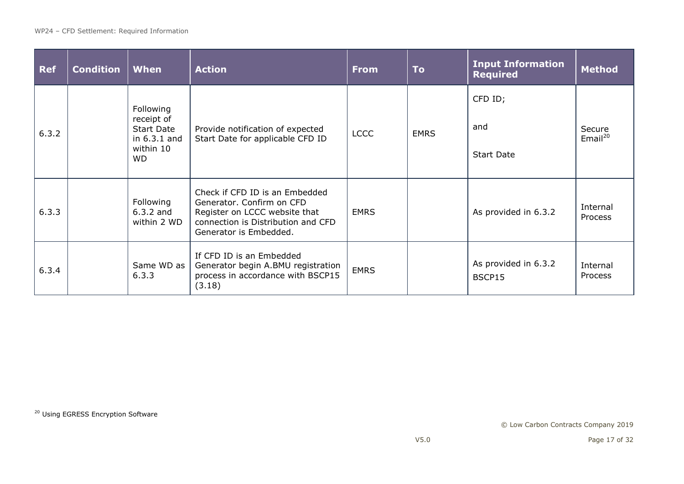| <b>Ref</b> | <b>Condition</b> | <b>When</b>                                                                      | <b>Action</b>                                                                                                                                                | <b>From</b> | <b>To</b>   | <b>Input Information</b><br><b>Required</b> | <b>Method</b>              |
|------------|------------------|----------------------------------------------------------------------------------|--------------------------------------------------------------------------------------------------------------------------------------------------------------|-------------|-------------|---------------------------------------------|----------------------------|
| 6.3.2      |                  | Following<br>receipt of<br><b>Start Date</b><br>in 6.3.1 and<br>within 10<br>WD. | Provide notification of expected<br>Start Date for applicable CFD ID                                                                                         | <b>LCCC</b> | <b>EMRS</b> | CFD ID;<br>and<br><b>Start Date</b>         | Secure<br>Email $^{20}$    |
| 6.3.3      |                  | Following<br>$6.3.2$ and<br>within 2 WD                                          | Check if CFD ID is an Embedded<br>Generator. Confirm on CFD<br>Register on LCCC website that<br>connection is Distribution and CFD<br>Generator is Embedded. | <b>EMRS</b> |             | As provided in 6.3.2                        | Internal<br><b>Process</b> |
| 6.3.4      |                  | Same WD as<br>6.3.3                                                              | If CFD ID is an Embedded<br>Generator begin A.BMU registration<br>process in accordance with BSCP15<br>(3.18)                                                | <b>EMRS</b> |             | As provided in 6.3.2<br>BSCP15              | Internal<br><b>Process</b> |

20 Using EGRESS Encryption Software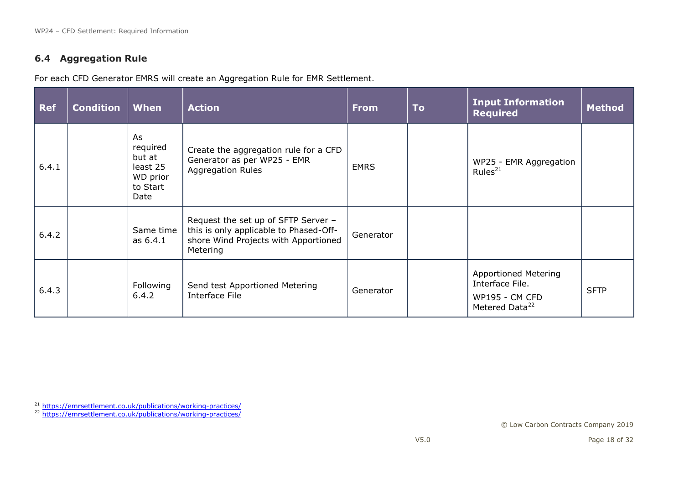#### **6.4 Aggregation Rule**

For each CFD Generator EMRS will create an Aggregation Rule for EMR Settlement.

| <b>Ref</b> | <b>Condition</b> | When                                                                 | <b>Action</b>                                                                                                                     | <b>From</b> | <b>To</b> | <b>Input Information</b><br><b>Required</b>                                                           | <b>Method</b> |
|------------|------------------|----------------------------------------------------------------------|-----------------------------------------------------------------------------------------------------------------------------------|-------------|-----------|-------------------------------------------------------------------------------------------------------|---------------|
| 6.4.1      |                  | As<br>required<br>but at<br>least 25<br>WD prior<br>to Start<br>Date | Create the aggregation rule for a CFD<br>Generator as per WP25 - EMR<br><b>Aggregation Rules</b>                                  | <b>EMRS</b> |           | WP25 - EMR Aggregation<br>Rules $^{21}$                                                               |               |
| 6.4.2      |                  | Same time<br>as 6.4.1                                                | Request the set up of SFTP Server -<br>this is only applicable to Phased-Off-<br>shore Wind Projects with Apportioned<br>Metering | Generator   |           |                                                                                                       |               |
| 6.4.3      |                  | Following<br>6.4.2                                                   | Send test Apportioned Metering<br>Interface File                                                                                  | Generator   |           | <b>Apportioned Metering</b><br>Interface File.<br><b>WP195 - CM CFD</b><br>Metered Data <sup>22</sup> | <b>SFTP</b>   |

<sup>&</sup>lt;sup>21</sup> <https://emrsettlement.co.uk/publications/working-practices/>

<sup>&</sup>lt;sup>22</sup> <https://emrsettlement.co.uk/publications/working-practices/>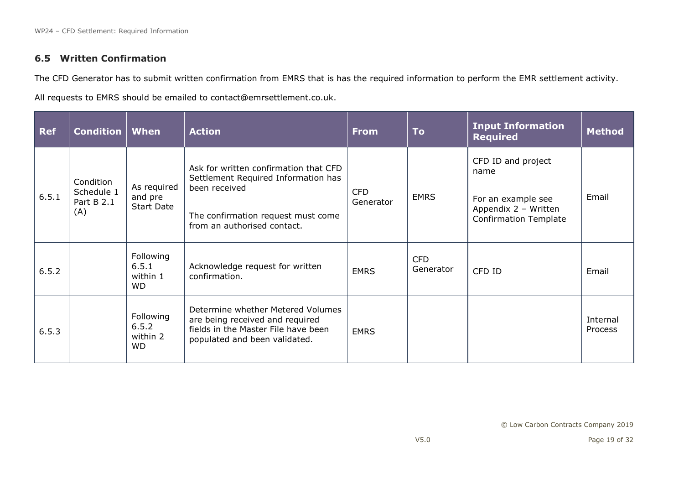## **6.5 Written Confirmation**

The CFD Generator has to submit written confirmation from EMRS that is has the required information to perform the EMR settlement activity.

All requests to EMRS should be emailed to [contact@emrsettlement.co.uk.](mailto:contact@emrsettlement.co.uk)

| <b>Ref</b> | <b>Condition</b>                             | When                                        | <b>Action</b>                                                                                                                                                      | <b>From</b>             | <b>To</b>               | <b>Input Information</b><br><b>Required</b>                                                              | <b>Method</b>       |
|------------|----------------------------------------------|---------------------------------------------|--------------------------------------------------------------------------------------------------------------------------------------------------------------------|-------------------------|-------------------------|----------------------------------------------------------------------------------------------------------|---------------------|
| 6.5.1      | Condition<br>Schedule 1<br>Part B 2.1<br>(A) | As required<br>and pre<br><b>Start Date</b> | Ask for written confirmation that CFD<br>Settlement Required Information has<br>been received<br>The confirmation request must come<br>from an authorised contact. | <b>CFD</b><br>Generator | <b>EMRS</b>             | CFD ID and project<br>name<br>For an example see<br>Appendix 2 - Written<br><b>Confirmation Template</b> | Email               |
| 6.5.2      |                                              | Following<br>6.5.1<br>within 1<br><b>WD</b> | Acknowledge request for written<br>confirmation.                                                                                                                   | <b>EMRS</b>             | <b>CFD</b><br>Generator | CFD ID                                                                                                   | Email               |
| 6.5.3      |                                              | Following<br>6.5.2<br>within 2<br>WD.       | Determine whether Metered Volumes<br>are being received and required<br>fields in the Master File have been<br>populated and been validated.                       | <b>EMRS</b>             |                         |                                                                                                          | Internal<br>Process |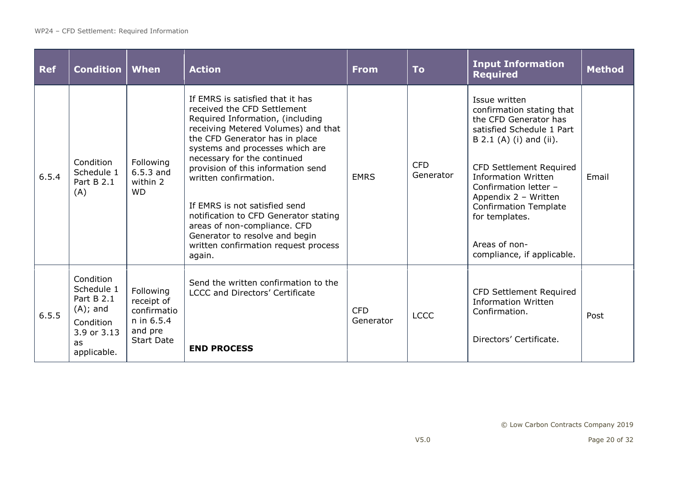| <b>Ref</b> | <b>Condition</b>                                                                                             | When                                                                                 | <b>Action</b>                                                                                                                                                                                                                                                                                                                                                                                                                                                                                               | <b>From</b>             | <b>To</b>               | <b>Input Information</b><br><b>Required</b>                                                                                                                                                                                                                                                                                                   | <b>Method</b> |
|------------|--------------------------------------------------------------------------------------------------------------|--------------------------------------------------------------------------------------|-------------------------------------------------------------------------------------------------------------------------------------------------------------------------------------------------------------------------------------------------------------------------------------------------------------------------------------------------------------------------------------------------------------------------------------------------------------------------------------------------------------|-------------------------|-------------------------|-----------------------------------------------------------------------------------------------------------------------------------------------------------------------------------------------------------------------------------------------------------------------------------------------------------------------------------------------|---------------|
| 6.5.4      | Condition<br>Schedule 1<br>Part B 2.1<br>(A)                                                                 | Following<br>$6.5.3$ and<br>within 2<br><b>WD</b>                                    | If EMRS is satisfied that it has<br>received the CFD Settlement<br>Required Information, (including<br>receiving Metered Volumes) and that<br>the CFD Generator has in place<br>systems and processes which are<br>necessary for the continued<br>provision of this information send<br>written confirmation.<br>If EMRS is not satisfied send<br>notification to CFD Generator stating<br>areas of non-compliance. CFD<br>Generator to resolve and begin<br>written confirmation request process<br>again. | <b>EMRS</b>             | <b>CFD</b><br>Generator | Issue written<br>confirmation stating that<br>the CFD Generator has<br>satisfied Schedule 1 Part<br>B 2.1 (A) (i) and (ii).<br><b>CFD Settlement Required</b><br><b>Information Written</b><br>Confirmation letter -<br>Appendix 2 - Written<br><b>Confirmation Template</b><br>for templates.<br>Areas of non-<br>compliance, if applicable. | Email         |
| 6.5.5      | Condition<br>Schedule 1<br>Part B 2.1<br>$(A)$ ; and<br>Condition<br>3.9 or 3.13<br><b>as</b><br>applicable. | Following<br>receipt of<br>confirmatio<br>n in 6.5.4<br>and pre<br><b>Start Date</b> | Send the written confirmation to the<br><b>LCCC and Directors' Certificate</b><br><b>END PROCESS</b>                                                                                                                                                                                                                                                                                                                                                                                                        | <b>CFD</b><br>Generator | <b>LCCC</b>             | <b>CFD Settlement Required</b><br><b>Information Written</b><br>Confirmation.<br>Directors' Certificate.                                                                                                                                                                                                                                      | Post          |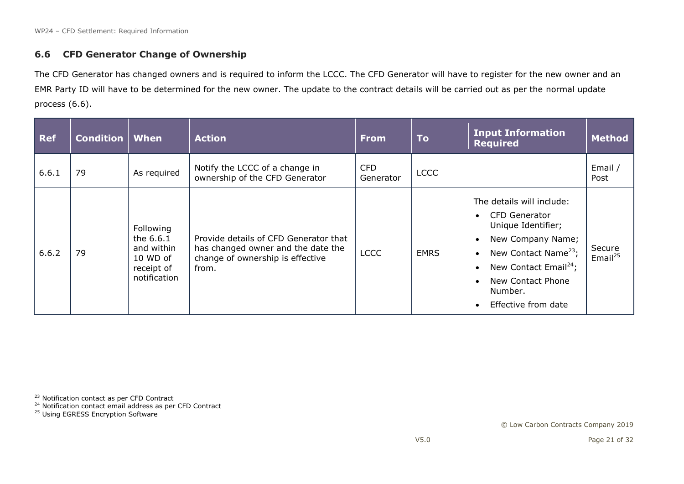#### **6.6 CFD Generator Change of Ownership**

The CFD Generator has changed owners and is required to inform the LCCC. The CFD Generator will have to register for the new owner and an EMR Party ID will have to be determined for the new owner. The update to the contract details will be carried out as per the normal update process (6.6).

| <b>Ref</b> | <b>Condition   When</b> |                                                                                | <b>Action</b>                                                                                                            | <b>From</b>             | To          | <b>Input Information</b><br><b>Required</b>                                                                                                                                                                           | <b>Method</b>           |
|------------|-------------------------|--------------------------------------------------------------------------------|--------------------------------------------------------------------------------------------------------------------------|-------------------------|-------------|-----------------------------------------------------------------------------------------------------------------------------------------------------------------------------------------------------------------------|-------------------------|
| 6.6.1      | 79                      | As required                                                                    | Notify the LCCC of a change in<br>ownership of the CFD Generator                                                         | <b>CFD</b><br>Generator | <b>LCCC</b> |                                                                                                                                                                                                                       | Email /<br>Post         |
| 6.6.2      | 79                      | Following<br>the 6.6.1<br>and within<br>10 WD of<br>receipt of<br>notification | Provide details of CFD Generator that<br>has changed owner and the date the<br>change of ownership is effective<br>from. | <b>LCCC</b>             | <b>EMRS</b> | The details will include:<br>CFD Generator<br>Unique Identifier;<br>New Company Name;<br>New Contact Name <sup>23</sup> ;<br>New Contact Email <sup>24</sup> ;<br>New Contact Phone<br>Number.<br>Effective from date | Secure<br>Email $^{25}$ |

<sup>23</sup> Notification contact as per CFD Contract

- <sup>24</sup> Notification contact email address as per CFD Contract
- <sup>25</sup> Using EGRESS Encryption Software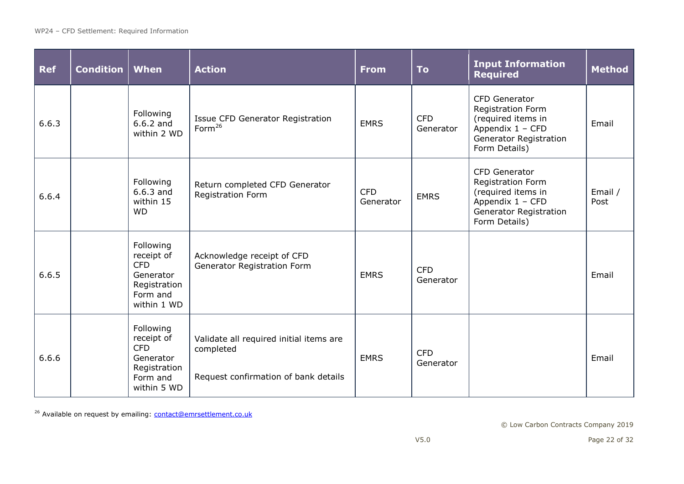| <b>Ref</b> | <b>Condition   When</b> |                                                                                               | <b>Action</b>                                                                                | <b>From</b>             | <b>To</b>               | <b>Input Information</b><br><b>Required</b>                                                                                           | <b>Method</b>   |
|------------|-------------------------|-----------------------------------------------------------------------------------------------|----------------------------------------------------------------------------------------------|-------------------------|-------------------------|---------------------------------------------------------------------------------------------------------------------------------------|-----------------|
| 6.6.3      |                         | Following<br>$6.6.2$ and<br>within 2 WD                                                       | Issue CFD Generator Registration<br>Form <sup>26</sup>                                       | <b>EMRS</b>             | <b>CFD</b><br>Generator | CFD Generator<br>Registration Form<br>(required items in<br>Appendix 1 - CFD<br><b>Generator Registration</b><br>Form Details)        | Email           |
| 6.6.4      |                         | Following<br>$6.6.3$ and<br>within 15<br><b>WD</b>                                            | Return completed CFD Generator<br><b>Registration Form</b>                                   | <b>CFD</b><br>Generator | <b>EMRS</b>             | CFD Generator<br><b>Registration Form</b><br>(required items in<br>Appendix 1 - CFD<br><b>Generator Registration</b><br>Form Details) | Email /<br>Post |
| 6.6.5      |                         | Following<br>receipt of<br><b>CFD</b><br>Generator<br>Registration<br>Form and<br>within 1 WD | Acknowledge receipt of CFD<br>Generator Registration Form                                    | <b>EMRS</b>             | <b>CFD</b><br>Generator |                                                                                                                                       | Email           |
| 6.6.6      |                         | Following<br>receipt of<br><b>CFD</b><br>Generator<br>Registration<br>Form and<br>within 5 WD | Validate all required initial items are<br>completed<br>Request confirmation of bank details | <b>EMRS</b>             | <b>CFD</b><br>Generator |                                                                                                                                       | Email           |

<sup>26</sup> Available on request by emailing: **contact@emrsettlement.co.uk**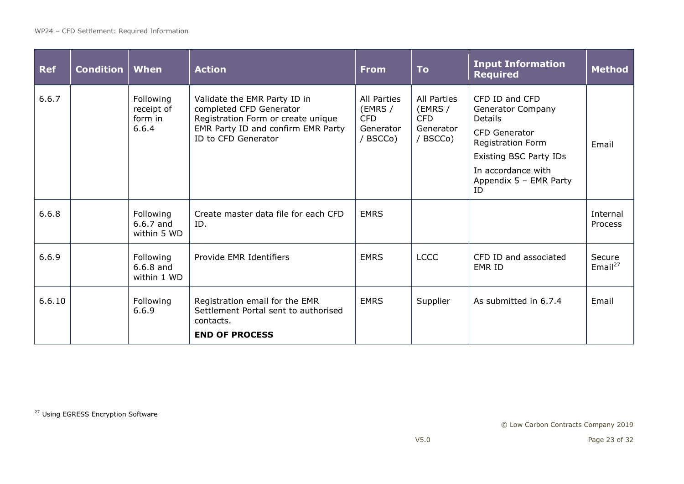| <b>Ref</b> | <b>Condition   When</b> |                                             | <b>Action</b>                                                                                                                                              | <b>From</b>                                                          | <b>To</b>                                                            | <b>Input Information</b><br><b>Required</b>                                                                                                                                   | <b>Method</b>           |
|------------|-------------------------|---------------------------------------------|------------------------------------------------------------------------------------------------------------------------------------------------------------|----------------------------------------------------------------------|----------------------------------------------------------------------|-------------------------------------------------------------------------------------------------------------------------------------------------------------------------------|-------------------------|
| 6.6.7      |                         | Following<br>receipt of<br>form in<br>6.6.4 | Validate the EMR Party ID in<br>completed CFD Generator<br>Registration Form or create unique<br>EMR Party ID and confirm EMR Party<br>ID to CFD Generator | <b>All Parties</b><br>(EMRS /<br><b>CFD</b><br>Generator<br>/ BSCCo) | <b>All Parties</b><br>(EMRS /<br><b>CFD</b><br>Generator<br>/ BSCCo) | CFD ID and CFD<br>Generator Company<br>Details<br><b>CFD Generator</b><br>Registration Form<br>Existing BSC Party IDs<br>In accordance with<br>Appendix $5$ – EMR Party<br>ID | Email                   |
| 6.6.8      |                         | Following<br>$6.6.7$ and<br>within 5 WD     | Create master data file for each CFD<br>ID.                                                                                                                | <b>EMRS</b>                                                          |                                                                      |                                                                                                                                                                               | Internal<br>Process     |
| 6.6.9      |                         | Following<br>$6.6.8$ and<br>within 1 WD     | Provide EMR Identifiers                                                                                                                                    | <b>EMRS</b>                                                          | <b>LCCC</b>                                                          | CFD ID and associated<br><b>EMR ID</b>                                                                                                                                        | Secure<br>Email $^{27}$ |
| 6.6.10     |                         | Following<br>6.6.9                          | Registration email for the EMR<br>Settlement Portal sent to authorised<br>contacts.<br><b>END OF PROCESS</b>                                               | <b>EMRS</b>                                                          | Supplier                                                             | As submitted in 6.7.4                                                                                                                                                         | Email                   |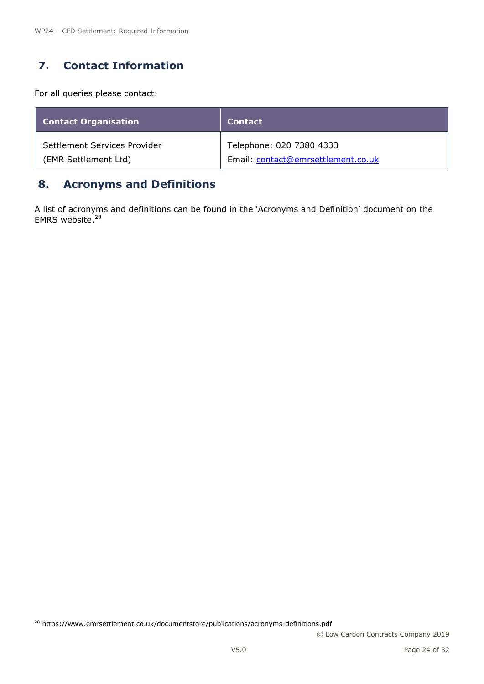# <span id="page-23-0"></span>**7. Contact Information**

For all queries please contact:

| <b>Contact Organisation</b>  | <b>Contact</b>                     |
|------------------------------|------------------------------------|
| Settlement Services Provider | Telephone: 020 7380 4333           |
| (EMR Settlement Ltd)         | Email: contact@emrsettlement.co.uk |

# <span id="page-23-1"></span>**8. Acronyms and Definitions**

A list of acronyms and definitions can be found in the 'Acronyms and Definition' document on the EMRS website.<sup>28</sup>

<sup>28</sup> https://www.emrsettlement.co.uk/documentstore/publications/acronyms-definitions.pdf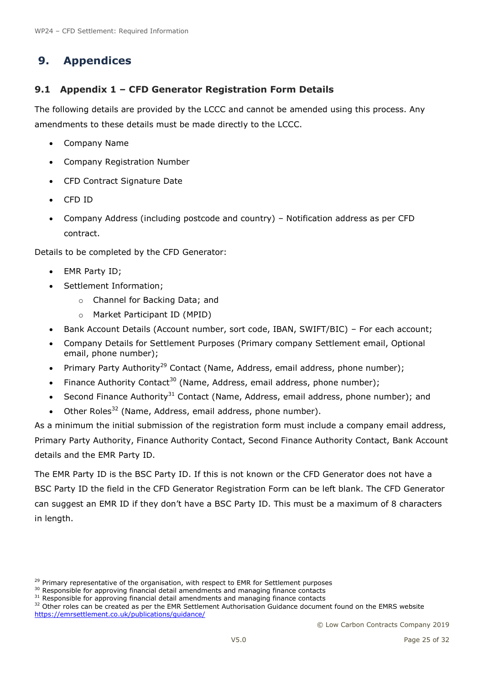# <span id="page-24-2"></span><span id="page-24-0"></span>**9. Appendices**

## <span id="page-24-1"></span>**9.1 Appendix 1 – CFD Generator Registration Form Details**

The following details are provided by the LCCC and cannot be amended using this process. Any amendments to these details must be made directly to the LCCC.

- Company Name
- Company Registration Number
- CFD Contract Signature Date
- CFD ID
- Company Address (including postcode and country) Notification address as per CFD contract.

Details to be completed by the CFD Generator:

- EMR Party ID;
- Settlement Information;
	- o Channel for Backing Data; and
	- o Market Participant ID (MPID)
- Bank Account Details (Account number, sort code, IBAN, SWIFT/BIC) For each account;
- Company Details for Settlement Purposes (Primary company Settlement email, Optional email, phone number);
- Primary Party Authority<sup>29</sup> Contact (Name, Address, email address, phone number);
- Finance Authority Contact<sup>30</sup> (Name, Address, email address, phone number);
- Second Finance Authority<sup>31</sup> Contact (Name, Address, email address, phone number); and
- Other Roles<sup>32</sup> (Name, Address, email address, phone number).

As a minimum the initial submission of the registration form must include a company email address, Primary Party Authority, Finance Authority Contact, Second Finance Authority Contact, Bank Account details and the EMR Party ID.

The EMR Party ID is the BSC Party ID. If this is not known or the CFD Generator does not have a BSC Party ID the field in the CFD Generator Registration Form can be left blank. The CFD Generator can suggest an EMR ID if they don't have a BSC Party ID. This must be a maximum of 8 characters in length.

<sup>&</sup>lt;sup>29</sup> Primary representative of the organisation, with respect to EMR for Settlement purposes

<sup>&</sup>lt;sup>30</sup> Responsible for approving financial detail amendments and managing finance contacts

<sup>&</sup>lt;sup>31</sup> Responsible for approving financial detail amendments and managing finance contacts

<sup>&</sup>lt;sup>32</sup> Other roles can be created as per the EMR Settlement Authorisation Guidance document found on the EMRS website <https://emrsettlement.co.uk/publications/guidance/>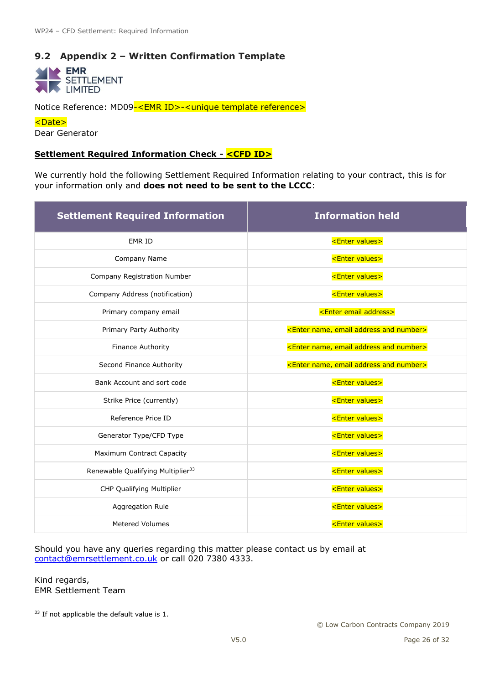## <span id="page-25-1"></span><span id="page-25-0"></span>**9.2 Appendix 2 – Written Confirmation Template**

 $\blacktriangleright$  EMR **SETTLEMENT LIMITED** 

Notice Reference: MD09-<EMR ID>-<unique template reference>

<Date>

Dear Generator

#### **Settlement Required Information Check - <CFD ID>**

We currently hold the following Settlement Required Information relating to your contract, this is for your information only and **does not need to be sent to the LCCC**:

| <b>Settlement Required Information</b>        | <b>Information held</b>                                       |
|-----------------------------------------------|---------------------------------------------------------------|
| EMR ID                                        | <enter values=""></enter>                                     |
| Company Name                                  | <enter values=""></enter>                                     |
| Company Registration Number                   | <enter values=""></enter>                                     |
| Company Address (notification)                | <enter values=""></enter>                                     |
| Primary company email                         | <enter address="" email=""></enter>                           |
| Primary Party Authority                       | <enter address="" and="" email="" name,="" number=""></enter> |
| Finance Authority                             | <enter address="" and="" email="" name,="" number=""></enter> |
| Second Finance Authority                      | <enter address="" and="" email="" name,="" number=""></enter> |
| Bank Account and sort code                    | <enter values=""></enter>                                     |
| Strike Price (currently)                      | <enter values=""></enter>                                     |
| Reference Price ID                            | <enter values=""></enter>                                     |
| Generator Type/CFD Type                       | <enter values=""></enter>                                     |
| Maximum Contract Capacity                     | <enter values=""></enter>                                     |
| Renewable Qualifying Multiplier <sup>33</sup> | <enter values=""></enter>                                     |
| CHP Qualifying Multiplier                     | <enter values=""></enter>                                     |
| Aggregation Rule                              | <enter values=""></enter>                                     |
| <b>Metered Volumes</b>                        | <enter values=""></enter>                                     |

Should you have any queries regarding this matter please contact us by email at [contact@emrsettlement.co.uk](mailto:contact@emrsettlement.co.uk) or call 020 7380 4333.

Kind regards, EMR Settlement Team

<sup>33</sup> If not applicable the default value is 1.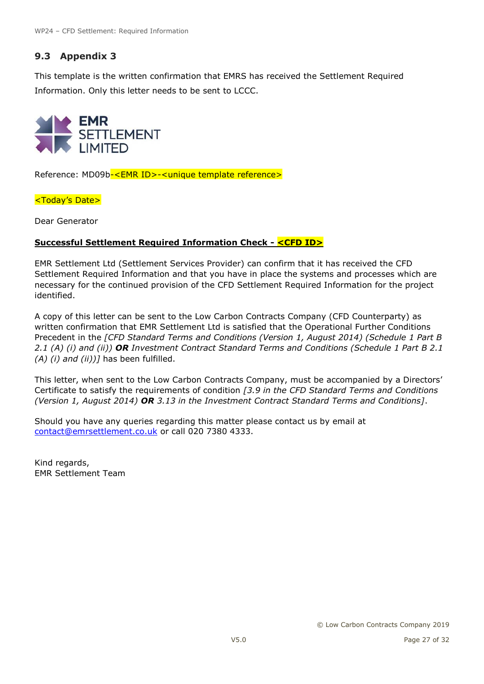## <span id="page-26-0"></span>**9.3 Appendix 3**

This template is the written confirmation that EMRS has received the Settlement Required Information. Only this letter needs to be sent to LCCC.



Reference: MD09b-<EMR ID>-<unique template reference>

<Today's Date>

Dear Generator

#### **Successful Settlement Required Information Check - <CFD ID>**

EMR Settlement Ltd (Settlement Services Provider) can confirm that it has received the CFD Settlement Required Information and that you have in place the systems and processes which are necessary for the continued provision of the CFD Settlement Required Information for the project identified.

A copy of this letter can be sent to the Low Carbon Contracts Company (CFD Counterparty) as written confirmation that EMR Settlement Ltd is satisfied that the Operational Further Conditions Precedent in the *[CFD Standard Terms and Conditions (Version 1, August 2014) (Schedule 1 Part B 2.1 (A) (i) and (ii)) OR Investment Contract Standard Terms and Conditions (Schedule 1 Part B 2.1 (A) (i) and (ii))]* has been fulfilled.

This letter, when sent to the Low Carbon Contracts Company, must be accompanied by a Directors' Certificate to satisfy the requirements of condition *[3.9 in the CFD Standard Terms and Conditions (Version 1, August 2014) OR 3.13 in the Investment Contract Standard Terms and Conditions]*.

Should you have any queries regarding this matter please contact us by email at [contact@emrsettlement.co.uk](mailto:contact@emrsettlement.co.uk) or call 020 7380 4333.

Kind regards, EMR Settlement Team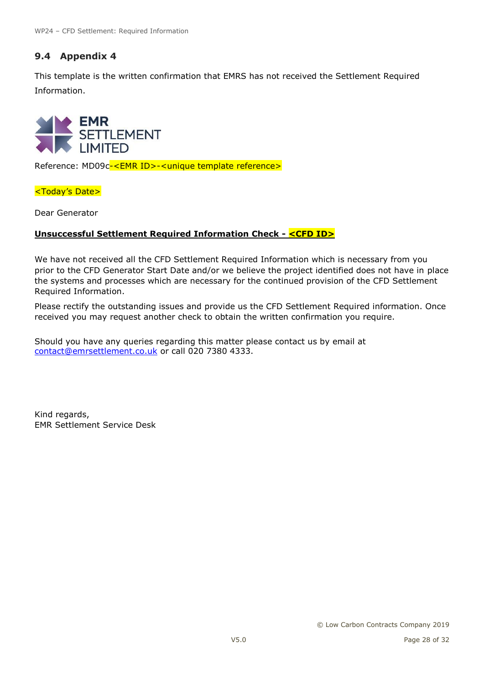# <span id="page-27-0"></span>**9.4 Appendix 4**

This template is the written confirmation that EMRS has not received the Settlement Required Information.



Reference: MD09c-<EMR ID>-<unique template reference>

<Today's Date>

Dear Generator

#### **Unsuccessful Settlement Required Information Check - <CFD ID>**

We have not received all the CFD Settlement Required Information which is necessary from you prior to the CFD Generator Start Date and/or we believe the project identified does not have in place the systems and processes which are necessary for the continued provision of the CFD Settlement Required Information.

Please rectify the outstanding issues and provide us the CFD Settlement Required information. Once received you may request another check to obtain the written confirmation you require.

Should you have any queries regarding this matter please contact us by email at [contact@emrsettlement.co.uk](mailto:contact@emrsettlement.co.uk) or call 020 7380 4333.

Kind regards, EMR Settlement Service Desk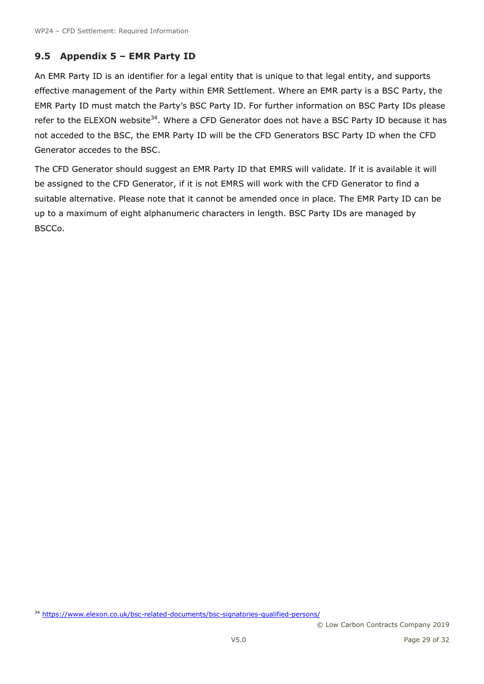## <span id="page-28-1"></span><span id="page-28-0"></span>**9.5 Appendix 5 – EMR Party ID**

An EMR Party ID is an identifier for a legal entity that is unique to that legal entity, and supports effective management of the Party within EMR Settlement. Where an EMR party is a BSC Party, the EMR Party ID must match the Party's BSC Party ID. For further information on BSC Party IDs please refer to the ELEXON website<sup>34</sup>. Where a CFD Generator does not have a BSC Party ID because it has not acceded to the BSC, the EMR Party ID will be the CFD Generators BSC Party ID when the CFD Generator accedes to the BSC.

The CFD Generator should suggest an EMR Party ID that EMRS will validate. If it is available it will be assigned to the CFD Generator, if it is not EMRS will work with the CFD Generator to find a suitable alternative. Please note that it cannot be amended once in place. The EMR Party ID can be up to a maximum of eight alphanumeric characters in length. BSC Party IDs are managed by BSCCo.

34 <https://www.elexon.co.uk/bsc-related-documents/bsc-signatories-qualified-persons/>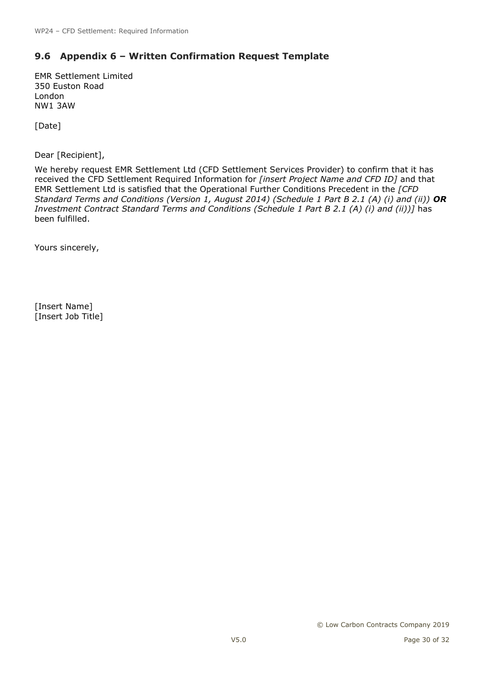## <span id="page-29-0"></span>**9.6 Appendix 6 – Written Confirmation Request Template**

EMR Settlement Limited 350 Euston Road London NW1 3AW

[Date]

Dear [Recipient],

We hereby request EMR Settlement Ltd (CFD Settlement Services Provider) to confirm that it has received the CFD Settlement Required Information for *[insert Project Name and CFD ID]* and that EMR Settlement Ltd is satisfied that the Operational Further Conditions Precedent in the *[CFD Standard Terms and Conditions (Version 1, August 2014) (Schedule 1 Part B 2.1 (A) (i) and (ii)) OR Investment Contract Standard Terms and Conditions (Schedule 1 Part B 2.1 (A) (i) and (ii))]* has been fulfilled.

Yours sincerely,

[Insert Name] [Insert Job Title]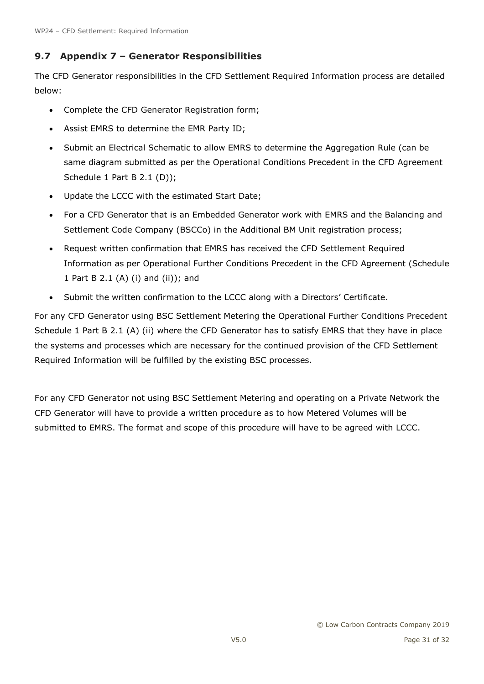## <span id="page-30-0"></span>**9.7 Appendix 7 – Generator Responsibilities**

The CFD Generator responsibilities in the CFD Settlement Required Information process are detailed below:

- Complete the CFD Generator Registration form;
- Assist EMRS to determine the EMR Party ID;
- Submit an Electrical Schematic to allow EMRS to determine the Aggregation Rule (can be same diagram submitted as per the Operational Conditions Precedent in the CFD Agreement Schedule 1 Part B 2.1 (D));
- Update the LCCC with the estimated Start Date;
- For a CFD Generator that is an Embedded Generator work with EMRS and the Balancing and Settlement Code Company (BSCCo) in the Additional BM Unit registration process;
- Request written confirmation that EMRS has received the CFD Settlement Required Information as per Operational Further Conditions Precedent in the CFD Agreement (Schedule 1 Part B 2.1 (A) (i) and (ii)); and
- Submit the written confirmation to the LCCC along with a Directors' Certificate.

For any CFD Generator using BSC Settlement Metering the Operational Further Conditions Precedent Schedule 1 Part B 2.1 (A) (ii) where the CFD Generator has to satisfy EMRS that they have in place the systems and processes which are necessary for the continued provision of the CFD Settlement Required Information will be fulfilled by the existing BSC processes.

For any CFD Generator not using BSC Settlement Metering and operating on a Private Network the CFD Generator will have to provide a written procedure as to how Metered Volumes will be submitted to EMRS. The format and scope of this procedure will have to be agreed with LCCC.